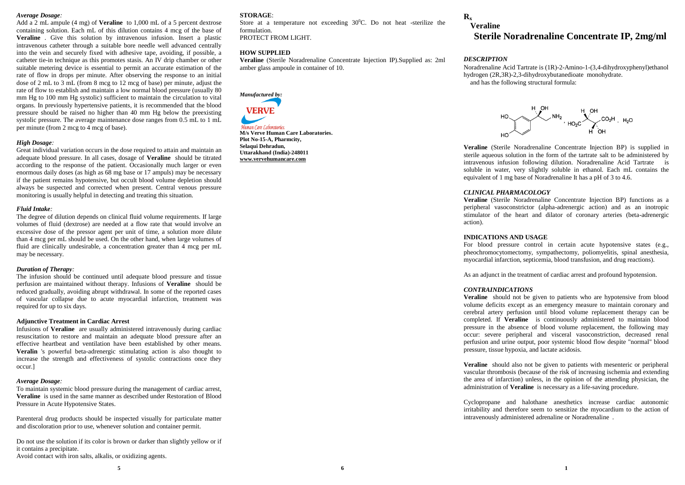### *Average Dosage:*

Add a 2 mL ampule (4 mg) of **Veraline** to 1,000 mL of a 5 percent dextrose containing solution. Each mL of this dilution contains 4 mcg of the base of **Veraline** . Give this solution by intravenous infusion. Insert a plastic intravenous catheter through a suitable bore needle well advanced centrally into the vein and securely fixed with adhesive tape, avoiding, if possible, a catheter tie-in technique as this promotes stasis. An IV drip chamber or other suitable metering device is essential to permit an accurate estimation of the rate of flow in drops per minute. After observing the response to an initial dose of 2 mL to 3 mL (from 8 mcg to 12 mcg of base) per minute, adjust the rate of flow to establish and maintain a low normal blood pressure (usually 80 mm Hg to 100 mm Hg systolic) sufficient to maintain the circulation to vital organs. In previously hypertensive patients, it is recommended that the blood pressure should be raised no higher than 40 mm Hg below the preexisting systolic pressure. The average maintenance dose ranges from 0.5 mL to 1 mL per minute (from 2 mcg to 4 mcg of base).

## *High Dosage:*

Great individual variation occurs in the dose required to attain and maintain an adequate blood pressure. In all cases, dosage of **Veraline** should be titrated according to the response of the patient. Occasionally much larger or even enormous daily doses (as high as 68 mg base or 17 ampuls) may be necessary if the patient remains hypotensive, but occult blood volume depletion should always be suspected and corrected when present. Central venous pressure monitoring is usually helpful in detecting and treating this situation.

#### *Fluid Intake:*

The degree of dilution depends on clinical fluid volume requirements. If large volumes of fluid (dextrose) are needed at a flow rate that would involve an excessive dose of the pressor agent per unit of time, a solution more dilute than 4 mcg per mL should be used. On the other hand, when large volumes of fluid are clinically undesirable, a concentration greater than 4 mcg per mL may be necessary.

## *Duration of Therapy:*

The infusion should be continued until adequate blood pressure and tissue perfusion are maintained without therapy. Infusions of **Veraline** should be reduced gradually, avoiding abrupt withdrawal. In some of the reported cases of vascular collapse due to acute myocardial infarction, treatment was required for up to six days.

#### **Adjunctive Treatment in Cardiac Arrest**

Infusions of **Veraline** are usually administered intravenously during cardiac resuscitation to restore and maintain an adequate blood pressure after an effective heartbeat and ventilation have been established by other means. **Veralin** 's powerful beta-adrenergic stimulating action is also thought to increase the strength and effectiveness of systolic contractions once they occur.]

#### *Average Dosage:*

To maintain systemic blood pressure during the management of cardiac arrest, **Veraline** is used in the same manner as described under Restoration of Blood Pressure in Acute Hypotensive States.

Parenteral drug products should be inspected visually for particulate matter and discoloration prior to use, whenever solution and container permit.

Do not use the solution if its color is brown or darker than slightly yellow or if it contains a precipitate.

Avoid contact with iron salts, alkalis, or oxidizing agents.

## **STORAGE**:

Store at a temperature not exceeding  $30^{\circ}$ C. Do not heat -sterilize the formulation. PROTECT FROM LIGHT.

**HOW SUPPLIED**

**Veraline** (Sterile Noradrenaline Concentrate Injection IP).Supplied as: 2ml amber glass ampoule in container of 10.

*Manufactured by:* **VERVE** 



**M/s Verve Human Care Laboratories. Plot No-15-A, Pharmcity, Selaqui Dehradun, Uttarakhand (India)-248011 www.vervehumancare.com**

## **Rx**

# **Veraline Sterile Noradrenaline Concentrate IP, 2mg/ml**

## *DESCRIPTION*

Noradrenaline Acid Tartrate is (1R)-2-Amino-1-(3,4-dihydroxyphenyl)ethanol hydrogen (2R,3R)-2,3-dihydroxybutanedioate monohydrate. and has the following structural formula:



**Veraline** (Sterile Noradrenaline Concentrate Injection BP) is supplied in sterile aqueous solution in the form of the tartrate salt to be administered by intravenous infusion following dilution. Noradrenaline Acid Tartrate is soluble in water, very slightly soluble in ethanol. Each mL contains the equivalent of 1 mg base of Noradrenaline It has a pH of 3 to 4.6.

## *CLINICAL PHARMACOLOGY*

**Veraline** (Sterile Noradrenaline Concentrate Injection BP) functions as a peripheral vasoconstrictor (alpha-adrenergic action) and as an inotropic stimulator of the heart and dilator of coronary arteries (beta-adrenergic action).

## **INDICATIONS AND USAGE**

For blood pressure control in certain acute hypotensive states (e.g., pheochromocytomectomy, sympathectomy, poliomyelitis, spinal anesthesia, myocardial infarction, septicemia, blood transfusion, and drug reactions).

As an adjunct in the treatment of cardiac arrest and profound hypotension.

## *CONTRAINDICATIONS*

**Veraline** should not be given to patients who are hypotensive from blood volume deficits except as an emergency measure to maintain coronary and cerebral artery perfusion until blood volume replacement therapy can be completed. If **Veraline** is continuously administered to maintain blood pressure in the absence of blood volume replacement, the following may occur: severe peripheral and visceral vasoconstriction, decreased renal perfusion and urine output, poor systemic blood flow despite "normal" blood pressure, tissue hypoxia, and lactate acidosis.

**Veraline** should also not be given to patients with mesenteric or peripheral vascular thrombosis (because of the risk of increasing ischemia and extending the area of infarction) unless, in the opinion of the attending physician, the administration of **Veraline** is necessary as a life-saving procedure.

Cyclopropane and halothane anesthetics increase cardiac autonomic irritability and therefore seem to sensitize the myocardium to the action of intravenously administered adrenaline or Noradrenaline .